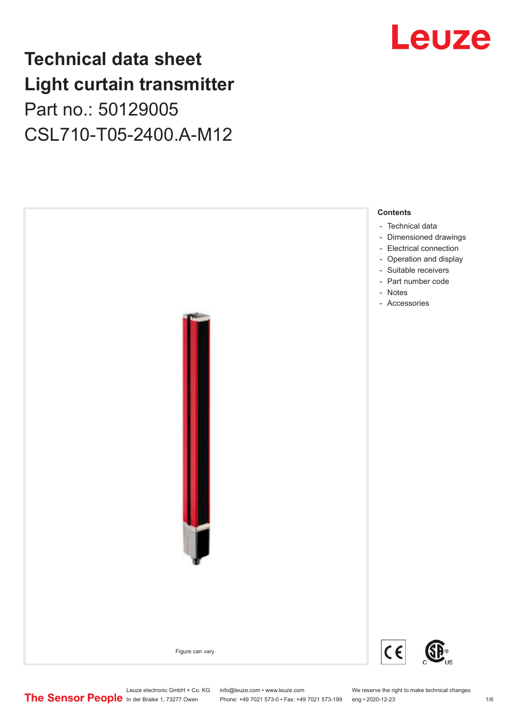## **Technical data sheet Light curtain transmitter** Part no.: 50129005 CSL710-T05-2400.A-M12



Leuze

Leuze electronic GmbH + Co. KG info@leuze.com • www.leuze.com We reserve the right to make technical changes<br>
The Sensor People in der Braike 1, 73277 Owen Phone: +49 7021 573-0 • Fax: +49 7021 573-199 eng • 2020-12-23

Phone: +49 7021 573-0 • Fax: +49 7021 573-199 eng • 2020-12-23 1 76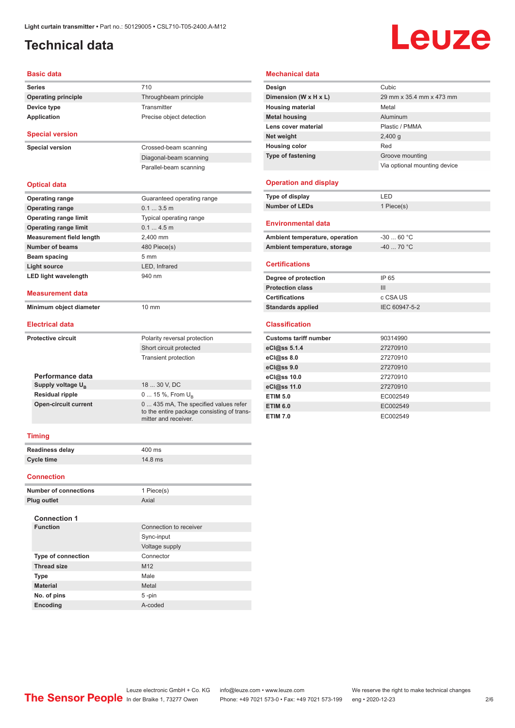## <span id="page-1-0"></span>**Technical data**

## Leuze

#### **Basic data**

| Daəit uata                      |                                                                                                            |
|---------------------------------|------------------------------------------------------------------------------------------------------------|
| <b>Series</b>                   | 710                                                                                                        |
| <b>Operating principle</b>      | Throughbeam principle                                                                                      |
| Device type                     | Transmitter                                                                                                |
| Application                     | Precise object detection                                                                                   |
| <b>Special version</b>          |                                                                                                            |
| <b>Special version</b>          | Crossed-beam scanning                                                                                      |
|                                 | Diagonal-beam scanning                                                                                     |
|                                 | Parallel-beam scanning                                                                                     |
| <b>Optical data</b>             |                                                                                                            |
| <b>Operating range</b>          | Guaranteed operating range                                                                                 |
| <b>Operating range</b>          | 0.13.5m                                                                                                    |
| <b>Operating range limit</b>    | Typical operating range                                                                                    |
| <b>Operating range limit</b>    | 0.14.5m                                                                                                    |
| <b>Measurement field length</b> | 2,400 mm                                                                                                   |
| <b>Number of beams</b>          | 480 Piece(s)                                                                                               |
| Beam spacing                    | 5 <sub>mm</sub>                                                                                            |
| <b>Light source</b>             | LED, Infrared                                                                                              |
| <b>LED light wavelength</b>     | 940 nm                                                                                                     |
| <b>Measurement data</b>         |                                                                                                            |
| Minimum object diameter         | $10 \text{ mm}$                                                                                            |
| <b>Electrical data</b>          |                                                                                                            |
| <b>Protective circuit</b>       | Polarity reversal protection                                                                               |
|                                 | Short circuit protected                                                                                    |
|                                 | Transient protection                                                                                       |
| Performance data                |                                                                                                            |
| Supply voltage $U_{\rm B}$      | 18  30 V, DC                                                                                               |
| <b>Residual ripple</b>          | 0  15 %, From $U_{\rm B}$                                                                                  |
| <b>Open-circuit current</b>     | 0 435 mA, The specified values refer<br>to the entire package consisting of trans-<br>mitter and receiver. |
| <b>Timing</b>                   |                                                                                                            |
| <b>Readiness delay</b>          | 400 ms                                                                                                     |
| <b>Cycle time</b>               | 14.8 ms                                                                                                    |
| <b>Connection</b>               |                                                                                                            |
| <b>Number of connections</b>    | 1 Piece(s)                                                                                                 |
| Plua outlet                     | Axial                                                                                                      |
|                                 |                                                                                                            |
| <b>Connection 1</b>             |                                                                                                            |
| <b>Function</b>                 | Connection to receiver                                                                                     |
|                                 | Sync-input                                                                                                 |
|                                 |                                                                                                            |
| Type of connection              | Voltage supply                                                                                             |

**Thread size** M12 **Type** Male **Material** Metal **No. of pins** 5 -pin **Encoding** A-coded

#### **Mechanical data**

| Design                       | Cubic                        |
|------------------------------|------------------------------|
| Dimension (W x H x L)        | 29 mm x 35.4 mm x 473 mm     |
| <b>Housing material</b>      | Metal                        |
| <b>Metal housing</b>         | Aluminum                     |
| Lens cover material          | Plastic / PMMA               |
| Net weight                   | $2,400$ q                    |
| <b>Housing color</b>         | Red                          |
| <b>Type of fastening</b>     | Groove mounting              |
|                              | Via optional mounting device |
| <b>Operation and display</b> |                              |
| Type of display              | LED                          |

### **Number of LEDs** 1 Piece(s)

| <b>Environmental data</b>      |            |  |
|--------------------------------|------------|--|
| Ambient temperature, operation | $-3060 °C$ |  |
| Ambient temperature, storage   | $-4070 °C$ |  |

#### **Certifications**

| Degree of protection     | IP 65         |
|--------------------------|---------------|
| <b>Protection class</b>  | Ш             |
| <b>Certifications</b>    | c CSA US      |
| <b>Standards applied</b> | IEC 60947-5-2 |

#### **Classification**

| <b>Customs tariff number</b> | 90314990 |
|------------------------------|----------|
| eCl@ss 5.1.4                 | 27270910 |
| eCl@ss 8.0                   | 27270910 |
| eCl@ss 9.0                   | 27270910 |
| eCl@ss 10.0                  | 27270910 |
| eCl@ss 11.0                  | 27270910 |
| <b>ETIM 5.0</b>              | EC002549 |
| <b>ETIM 6.0</b>              | EC002549 |
| <b>ETIM 7.0</b>              | EC002549 |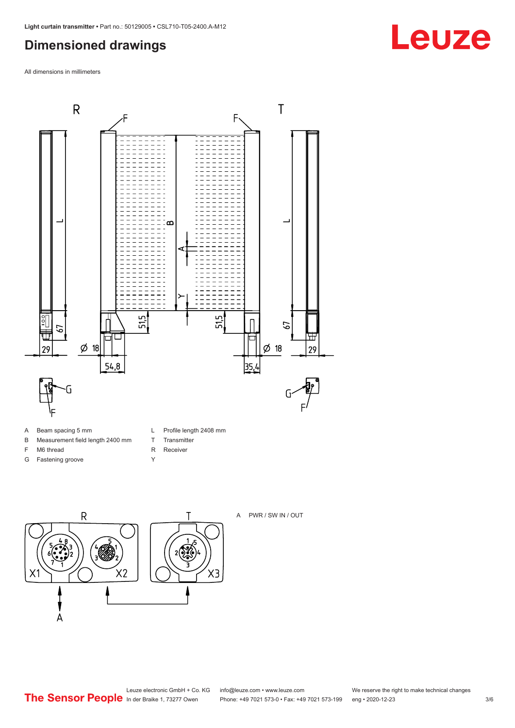## <span id="page-2-0"></span>**Dimensioned drawings**

All dimensions in millimeters



- A Beam spacing 5 mm
- B Measurement field length 2400 mm
- F M6 thread
- G Fastening groove
- L Profile length 2408 mm
- T Transmitter
- R Receiver
- Y





A PWR / SW IN / OUT

**Leuze**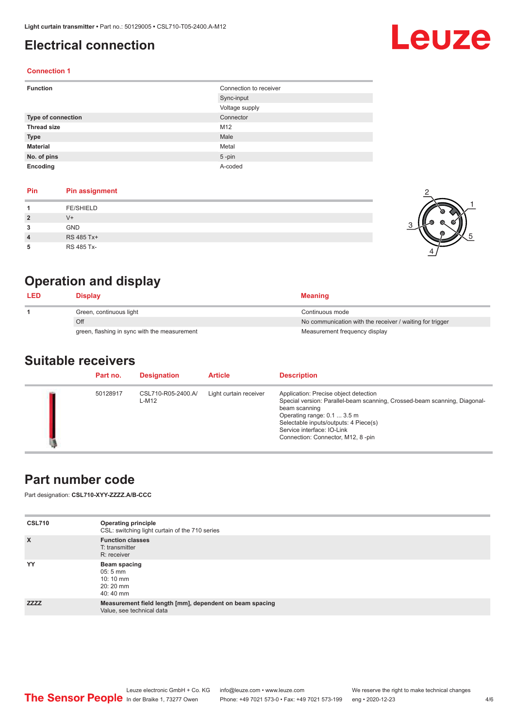## <span id="page-3-0"></span>**Electrical connection**

# Leuze

1

5

#### **Connection 1**

| <b>Function</b>    | Connection to receiver |
|--------------------|------------------------|
|                    | Sync-input             |
|                    | Voltage supply         |
| Type of connection | Connector              |
| <b>Thread size</b> | M12                    |
| <b>Type</b>        | Male                   |
| <b>Material</b>    | Metal                  |
| No. of pins        | $5$ -pin               |
| Encoding           | A-coded                |

#### **Pin Pin assignment**

| Pin            | <b>Pin assignment</b> |  |
|----------------|-----------------------|--|
|                | <b>FE/SHIELD</b>      |  |
| $\overline{2}$ | $V +$                 |  |
| 3              | <b>GND</b>            |  |
| $\overline{4}$ | RS 485 Tx+            |  |
| 5              | RS 485 Tx-            |  |

## **Operation and display**

| <b>LED</b> | Display                                      | <b>Meaning</b>                                           |
|------------|----------------------------------------------|----------------------------------------------------------|
|            | Green, continuous light                      | Continuous mode                                          |
|            | Off                                          | No communication with the receiver / waiting for trigger |
|            | green, flashing in sync with the measurement | Measurement frequency display                            |

### **Suitable receivers**

| Part no. | <b>Designation</b>          | <b>Article</b>         | <b>Description</b>                                                                                                                                                                                                                                                             |
|----------|-----------------------------|------------------------|--------------------------------------------------------------------------------------------------------------------------------------------------------------------------------------------------------------------------------------------------------------------------------|
| 50128917 | CSL710-R05-2400.A/<br>L-M12 | Light curtain receiver | Application: Precise object detection<br>Special version: Parallel-beam scanning, Crossed-beam scanning, Diagonal-<br>beam scanning<br>Operating range: 0.1  3.5 m<br>Selectable inputs/outputs: 4 Piece(s)<br>Service interface: IO-Link<br>Connection: Connector, M12, 8-pin |

## **Part number code**

Part designation: **CSL710-XYY-ZZZZ.A/B-CCC**

| <b>CSL710</b> | <b>Operating principle</b><br>CSL: switching light curtain of the 710 series          |
|---------------|---------------------------------------------------------------------------------------|
| $\mathsf{x}$  | <b>Function classes</b><br>T: transmitter<br>R: receiver                              |
| YY            | Beam spacing<br>$05:5 \, \text{mm}$<br>$10:10 \, \text{mm}$<br>$20:20$ mm<br>40:40 mm |
| <b>ZZZZ</b>   | Measurement field length [mm], dependent on beam spacing<br>Value, see technical data |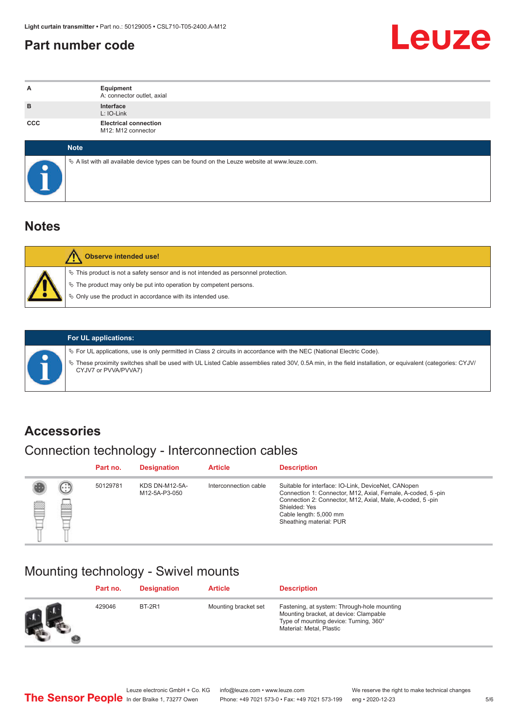## <span id="page-4-0"></span>**Part number code**



| А          | Equipment<br>A: connector outlet, axial                                                         |
|------------|-------------------------------------------------------------------------------------------------|
| B          | Interface<br>L: IO-Link                                                                         |
| <b>CCC</b> | <b>Electrical connection</b><br>M12: M12 connector                                              |
|            | <b>Note</b>                                                                                     |
|            | $\&$ A list with all available device types can be found on the Leuze website at www.leuze.com. |

## **Notes**

| Observe intended use!                                                                                                                                                                                                      |
|----------------------------------------------------------------------------------------------------------------------------------------------------------------------------------------------------------------------------|
| $\%$ This product is not a safety sensor and is not intended as personnel protection.<br>§ The product may only be put into operation by competent persons.<br>♦ Only use the product in accordance with its intended use. |

|  | § For UL applic                            |
|--|--------------------------------------------|
|  | <sup>ह</sup> े These proxin<br>CYJV7 or PV |

**For UL applications:**

cations, use is only permitted in Class 2 circuits in accordance with the NEC (National Electric Code). nity switches shall be used with UL Listed Cable assemblies rated 30V, 0.5A min, in the field installation, or equivalent (categories: CYJV/ /VA/PVVA7)

## **Accessories**

## Connection technology - Interconnection cables

|   |        | Part no. | <b>Designation</b>                     | <b>Article</b>        | <b>Description</b>                                                                                                                                                                                                                                    |
|---|--------|----------|----------------------------------------|-----------------------|-------------------------------------------------------------------------------------------------------------------------------------------------------------------------------------------------------------------------------------------------------|
| ß | ⊙<br>▩ | 50129781 | <b>KDS DN-M12-5A-</b><br>M12-5A-P3-050 | Interconnection cable | Suitable for interface: IO-Link, DeviceNet, CANopen<br>Connection 1: Connector, M12, Axial, Female, A-coded, 5-pin<br>Connection 2: Connector, M12, Axial, Male, A-coded, 5-pin<br>Shielded: Yes<br>Cable length: 5,000 mm<br>Sheathing material: PUR |

## Mounting technology - Swivel mounts

|          | Part no. | <b>Designation</b> | <b>Article</b>       | <b>Description</b>                                                                                                                                          |
|----------|----------|--------------------|----------------------|-------------------------------------------------------------------------------------------------------------------------------------------------------------|
| $\Omega$ | 429046   | <b>BT-2R1</b>      | Mounting bracket set | Fastening, at system: Through-hole mounting<br>Mounting bracket, at device: Clampable<br>Type of mounting device: Turning, 360°<br>Material: Metal, Plastic |